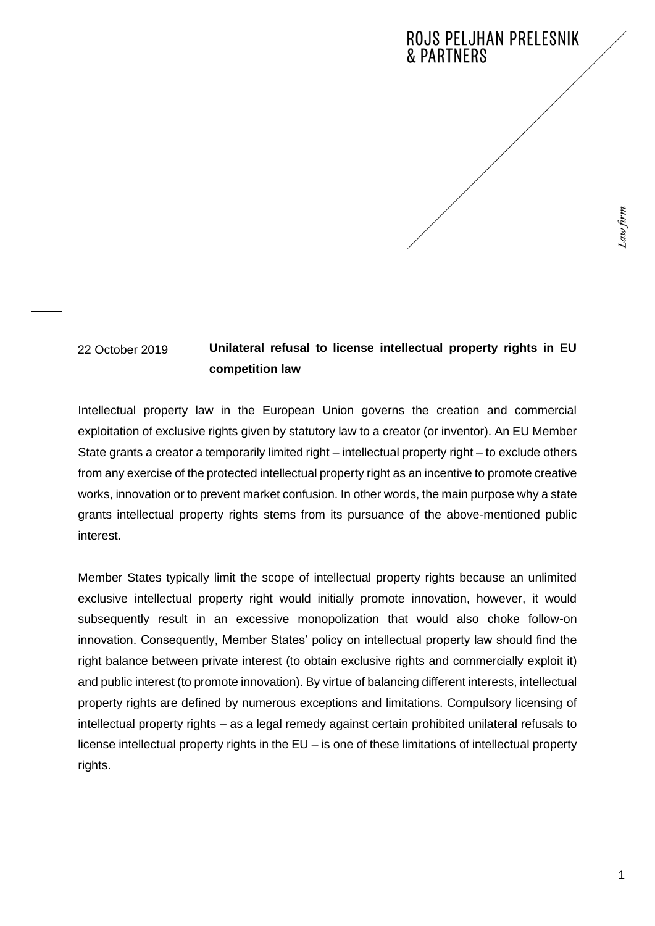## **Unilateral refusal to license intellectual property rights in EU competition law** 22 October 2019

Intellectual property law in the European Union governs the creation and commercial exploitation of exclusive rights given by statutory law to a creator (or inventor). An EU Member State grants a creator a temporarily limited right – intellectual property right – to exclude others from any exercise of the protected intellectual property right as an incentive to promote creative works, innovation or to prevent market confusion. In other words, the main purpose why a state grants intellectual property rights stems from its pursuance of the above-mentioned public interest.

Member States typically limit the scope of intellectual property rights because an unlimited exclusive intellectual property right would initially promote innovation, however, it would subsequently result in an excessive monopolization that would also choke follow-on innovation. Consequently, Member States' policy on intellectual property law should find the right balance between private interest (to obtain exclusive rights and commercially exploit it) and public interest (to promote innovation). By virtue of balancing different interests, intellectual property rights are defined by numerous exceptions and limitations. Compulsory licensing of intellectual property rights – as a legal remedy against certain prohibited unilateral refusals to license intellectual property rights in the EU – is one of these limitations of intellectual property rights.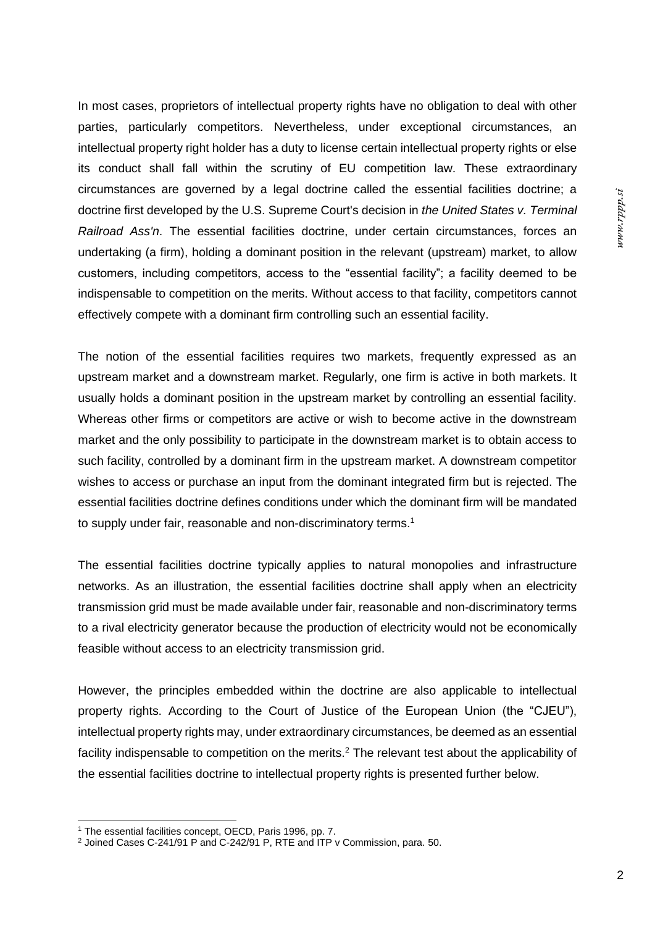In most cases, proprietors of intellectual property rights have no obligation to deal with other parties, particularly competitors. Nevertheless, under exceptional circumstances, an intellectual property right holder has a duty to license certain intellectual property rights or else its conduct shall fall within the scrutiny of EU competition law. These extraordinary circumstances are governed by a legal doctrine called the essential facilities doctrine; a doctrine first developed by the U.S. Supreme Court's decision in *the United States v. Terminal Railroad Ass'n*. The essential facilities doctrine, under certain circumstances, forces an undertaking (a firm), holding a dominant position in the relevant (upstream) market, to allow customers, including competitors, access to the "essential facility"; a facility deemed to be indispensable to competition on the merits. Without access to that facility, competitors cannot effectively compete with a dominant firm controlling such an essential facility.

The notion of the essential facilities requires two markets, frequently expressed as an upstream market and a downstream market. Regularly, one firm is active in both markets. It usually holds a dominant position in the upstream market by controlling an essential facility. Whereas other firms or competitors are active or wish to become active in the downstream market and the only possibility to participate in the downstream market is to obtain access to such facility, controlled by a dominant firm in the upstream market. A downstream competitor wishes to access or purchase an input from the dominant integrated firm but is rejected. The essential facilities doctrine defines conditions under which the dominant firm will be mandated to supply under fair, reasonable and non-discriminatory terms.<sup>1</sup>

The essential facilities doctrine typically applies to natural monopolies and infrastructure networks. As an illustration, the essential facilities doctrine shall apply when an electricity transmission grid must be made available under fair, reasonable and non-discriminatory terms to a rival electricity generator because the production of electricity would not be economically feasible without access to an electricity transmission grid.

However, the principles embedded within the doctrine are also applicable to intellectual property rights. According to the Court of Justice of the European Union (the "CJEU"), intellectual property rights may, under extraordinary circumstances, be deemed as an essential facility indispensable to competition on the merits.<sup>2</sup> The relevant test about the applicability of the essential facilities doctrine to intellectual property rights is presented further below.

<sup>&</sup>lt;sup>1</sup> The essential facilities concept, OECD, Paris 1996, pp. 7.

<sup>2</sup> Joined Cases C-241/91 P and C-242/91 P, RTE and ITP v Commission, para. 50.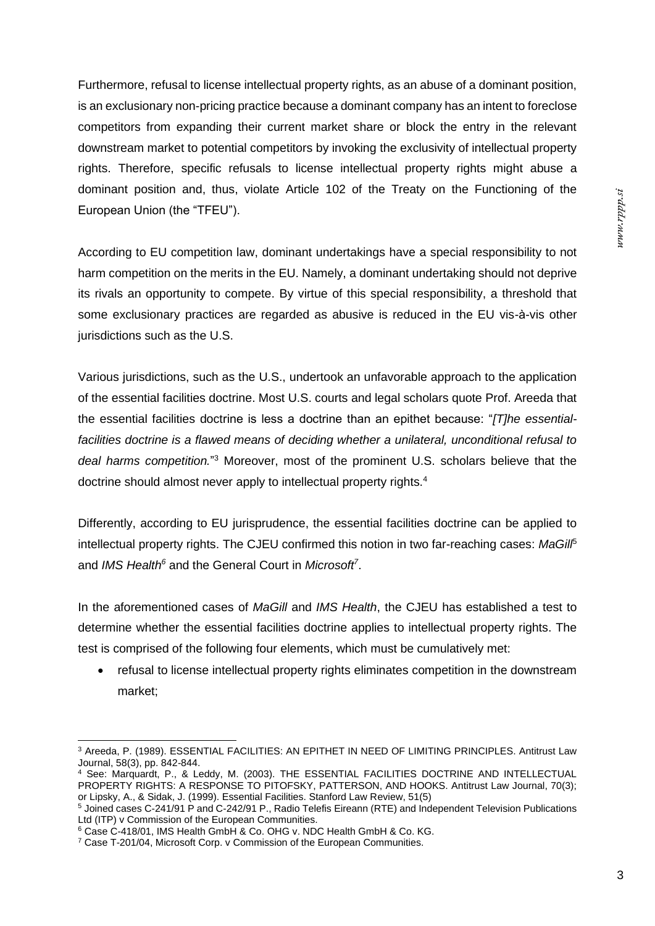Furthermore, refusal to license intellectual property rights, as an abuse of a dominant position, is an exclusionary non-pricing practice because a dominant company has an intent to foreclose competitors from expanding their current market share or block the entry in the relevant downstream market to potential competitors by invoking the exclusivity of intellectual property rights. Therefore, specific refusals to license intellectual property rights might abuse a dominant position and, thus, violate Article 102 of the Treaty on the Functioning of the European Union (the "TFEU").

According to EU competition law, dominant undertakings have a special responsibility to not harm competition on the merits in the EU. Namely, a dominant undertaking should not deprive its rivals an opportunity to compete. By virtue of this special responsibility, a threshold that some exclusionary practices are regarded as abusive is reduced in the EU vis-à-vis other jurisdictions such as the U.S.

Various jurisdictions, such as the U.S., undertook an unfavorable approach to the application of the essential facilities doctrine. Most U.S. courts and legal scholars quote Prof. Areeda that the essential facilities doctrine is less a doctrine than an epithet because: "*[T]he essentialfacilities doctrine is a flawed means of deciding whether a unilateral, unconditional refusal to deal harms competition.*" <sup>3</sup> Moreover, most of the prominent U.S. scholars believe that the doctrine should almost never apply to intellectual property rights.<sup>4</sup>

Differently, according to EU jurisprudence, the essential facilities doctrine can be applied to intellectual property rights. The CJEU confirmed this notion in two far-reaching cases: *MaGill*<sup>5</sup> and *IMS Health<sup>6</sup>* and the General Court in *Microsoft<sup>7</sup>* .

In the aforementioned cases of *MaGill* and *IMS Health*, the CJEU has established a test to determine whether the essential facilities doctrine applies to intellectual property rights. The test is comprised of the following four elements, which must be cumulatively met:

• refusal to license intellectual property rights eliminates competition in the downstream market;

<sup>3</sup> Areeda, P. (1989). ESSENTIAL FACILITIES: AN EPITHET IN NEED OF LIMITING PRINCIPLES. Antitrust Law Journal, 58(3), pp. 842-844.

<sup>4</sup> See: Marquardt, P., & Leddy, M. (2003). THE ESSENTIAL FACILITIES DOCTRINE AND INTELLECTUAL PROPERTY RIGHTS: A RESPONSE TO PITOFSKY, PATTERSON, AND HOOKS. Antitrust Law Journal, 70(3); or Lipsky, A., & Sidak, J. (1999). Essential Facilities. Stanford Law Review, 51(5)

<sup>5</sup> Joined cases C-241/91 P and C-242/91 P., Radio Telefis Eireann (RTE) and Independent Television Publications Ltd (ITP) v Commission of the European Communities.

<sup>6</sup> Case C-418/01, IMS Health GmbH & Co. OHG v. NDC Health GmbH & Co. KG.

<sup>&</sup>lt;sup>7</sup> Case T-201/04, Microsoft Corp. v Commission of the European Communities.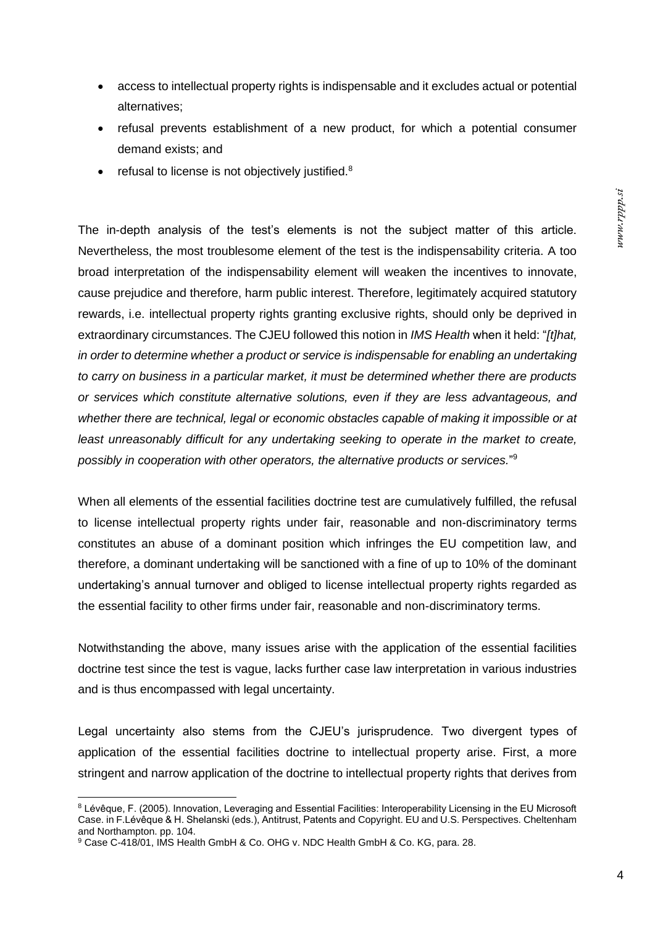- access to intellectual property rights is indispensable and it excludes actual or potential alternatives;
- refusal prevents establishment of a new product, for which a potential consumer demand exists; and
- refusal to license is not objectively justified.<sup>8</sup>

The in-depth analysis of the test's elements is not the subject matter of this article. Nevertheless, the most troublesome element of the test is the indispensability criteria. A too broad interpretation of the indispensability element will weaken the incentives to innovate, cause prejudice and therefore, harm public interest. Therefore, legitimately acquired statutory rewards, i.e. intellectual property rights granting exclusive rights, should only be deprived in extraordinary circumstances. The CJEU followed this notion in *IMS Health* when it held: "*[t]hat, in order to determine whether a product or service is indispensable for enabling an undertaking to carry on business in a particular market, it must be determined whether there are products or services which constitute alternative solutions, even if they are less advantageous, and whether there are technical, legal or economic obstacles capable of making it impossible or at least unreasonably difficult for any undertaking seeking to operate in the market to create, possibly in cooperation with other operators, the alternative products or services.*" 9

When all elements of the essential facilities doctrine test are cumulatively fulfilled, the refusal to license intellectual property rights under fair, reasonable and non-discriminatory terms constitutes an abuse of a dominant position which infringes the EU competition law, and therefore, a dominant undertaking will be sanctioned with a fine of up to 10% of the dominant undertaking's annual turnover and obliged to license intellectual property rights regarded as the essential facility to other firms under fair, reasonable and non-discriminatory terms.

Notwithstanding the above, many issues arise with the application of the essential facilities doctrine test since the test is vague, lacks further case law interpretation in various industries and is thus encompassed with legal uncertainty.

Legal uncertainty also stems from the CJEU's jurisprudence. Two divergent types of application of the essential facilities doctrine to intellectual property arise. First, a more stringent and narrow application of the doctrine to intellectual property rights that derives from

<sup>8</sup> Lévêque, F. (2005). Innovation, Leveraging and Essential Facilities: Interoperability Licensing in the EU Microsoft Case. in F.Lévêque & H. Shelanski (eds.), Antitrust, Patents and Copyright. EU and U.S. Perspectives. Cheltenham and Northampton. pp. 104.

<sup>9</sup> Case C-418/01, IMS Health GmbH & Co. OHG v. NDC Health GmbH & Co. KG, para. 28.